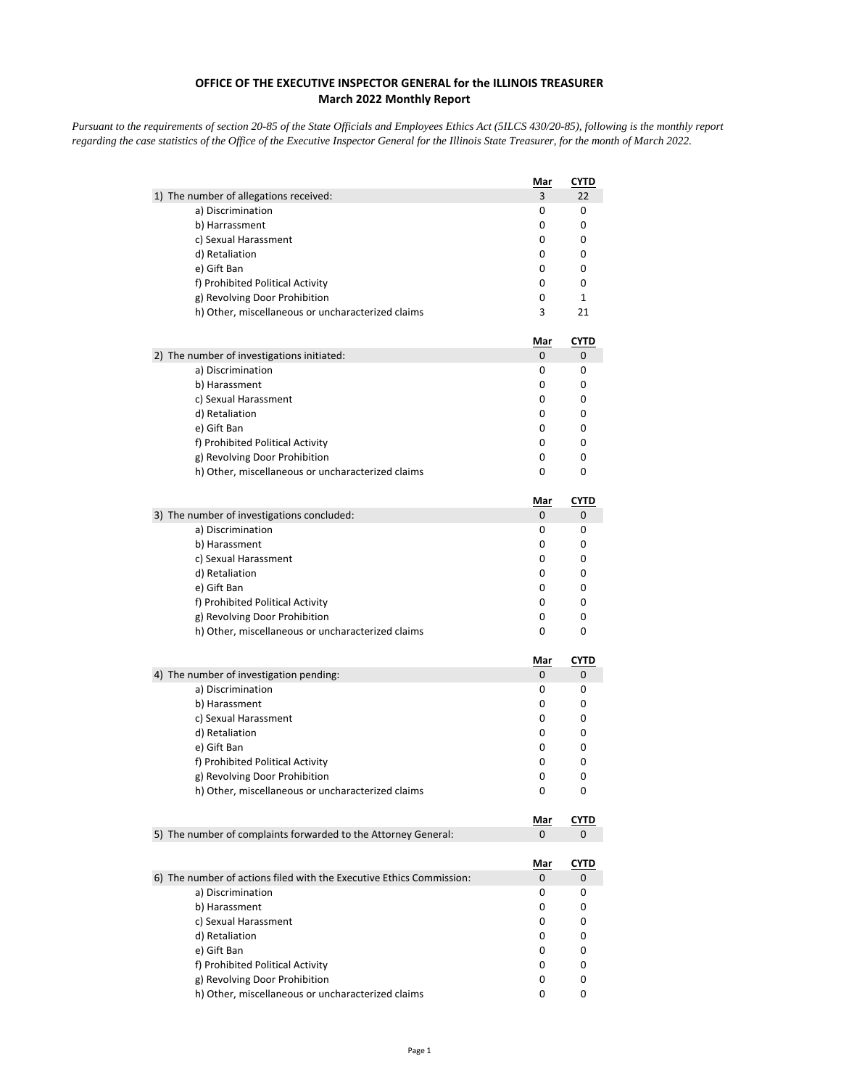## **OFFICE OF THE EXECUTIVE INSPECTOR GENERAL for the ILLINOIS TREASURER March 2022 Monthly Report**

*Pursuant to the requirements of section 20-85 of the State Officials and Employees Ethics Act (5ILCS 430/20-85), following is the monthly report regarding the case statistics of the Office of the Executive Inspector General for the Illinois State Treasurer, for the month of March 2022.* 

|                                                                      | Mar        | <u>CYTD</u>      |
|----------------------------------------------------------------------|------------|------------------|
| 1) The number of allegations received:                               | 3          | 22               |
| a) Discrimination                                                    | 0          | 0                |
| b) Harrassment                                                       | 0          | 0                |
| c) Sexual Harassment                                                 | 0          | 0                |
| d) Retaliation                                                       | 0          | 0                |
| e) Gift Ban                                                          | 0          | 0                |
| f) Prohibited Political Activity                                     | 0          | 0                |
| g) Revolving Door Prohibition                                        | 0          | $\mathbf{1}$     |
| h) Other, miscellaneous or uncharacterized claims                    | 3          | 21               |
|                                                                      | <u>Mar</u> | <u>CYTD</u>      |
| 2) The number of investigations initiated:                           | 0          | 0                |
| a) Discrimination                                                    | 0          | 0                |
| b) Harassment                                                        | 0          | 0                |
| c) Sexual Harassment                                                 | 0          | 0                |
| d) Retaliation                                                       | 0          | 0                |
| e) Gift Ban                                                          | 0          | 0                |
| f) Prohibited Political Activity                                     | 0          | 0                |
| g) Revolving Door Prohibition                                        | 0          | 0                |
| h) Other, miscellaneous or uncharacterized claims                    | 0          | 0                |
|                                                                      | <u>Mar</u> | <b>CYTD</b>      |
| 3) The number of investigations concluded:                           | 0          | 0                |
| a) Discrimination                                                    | 0          | 0                |
| b) Harassment                                                        | 0          | 0                |
| c) Sexual Harassment                                                 | 0          | 0                |
| d) Retaliation                                                       | 0          | 0                |
| e) Gift Ban                                                          | 0          | 0                |
| f) Prohibited Political Activity                                     | 0          | 0                |
| g) Revolving Door Prohibition                                        | 0          | 0                |
| h) Other, miscellaneous or uncharacterized claims                    | 0          | 0                |
|                                                                      | Mar        | <b>CYTD</b>      |
| 4) The number of investigation pending:                              | 0          | 0                |
| a) Discrimination                                                    | 0          | 0                |
| b) Harassment                                                        | 0          | 0                |
| c) Sexual Harassment                                                 | 0          | 0                |
| d) Retaliation<br>e) Gift Ban                                        | 0<br>0     | 0<br>0           |
| f) Prohibited Political Activity                                     | 0          | 0                |
| g) Revolving Door Prohibition                                        | 0          | 0                |
| h) Other, miscellaneous or uncharacterized claims                    | 0          | 0                |
|                                                                      |            |                  |
| 5) The number of complaints forwarded to the Attorney General:       | Mar<br>0   | <b>CYTD</b><br>0 |
|                                                                      |            |                  |
|                                                                      | <u>Mar</u> | <u>CYTD</u>      |
| 6) The number of actions filed with the Executive Ethics Commission: | 0<br>0     | 0<br>0           |
| a) Discrimination                                                    |            |                  |
| b) Harassment                                                        | 0          | 0                |
| c) Sexual Harassment                                                 | 0          | 0                |
| d) Retaliation<br>e) Gift Ban                                        | 0          | 0                |
| f) Prohibited Political Activity                                     | 0<br>0     | 0<br>0           |
| g) Revolving Door Prohibition                                        | 0          | 0                |
|                                                                      |            | 0                |
| h) Other, miscellaneous or uncharacterized claims                    | 0          |                  |